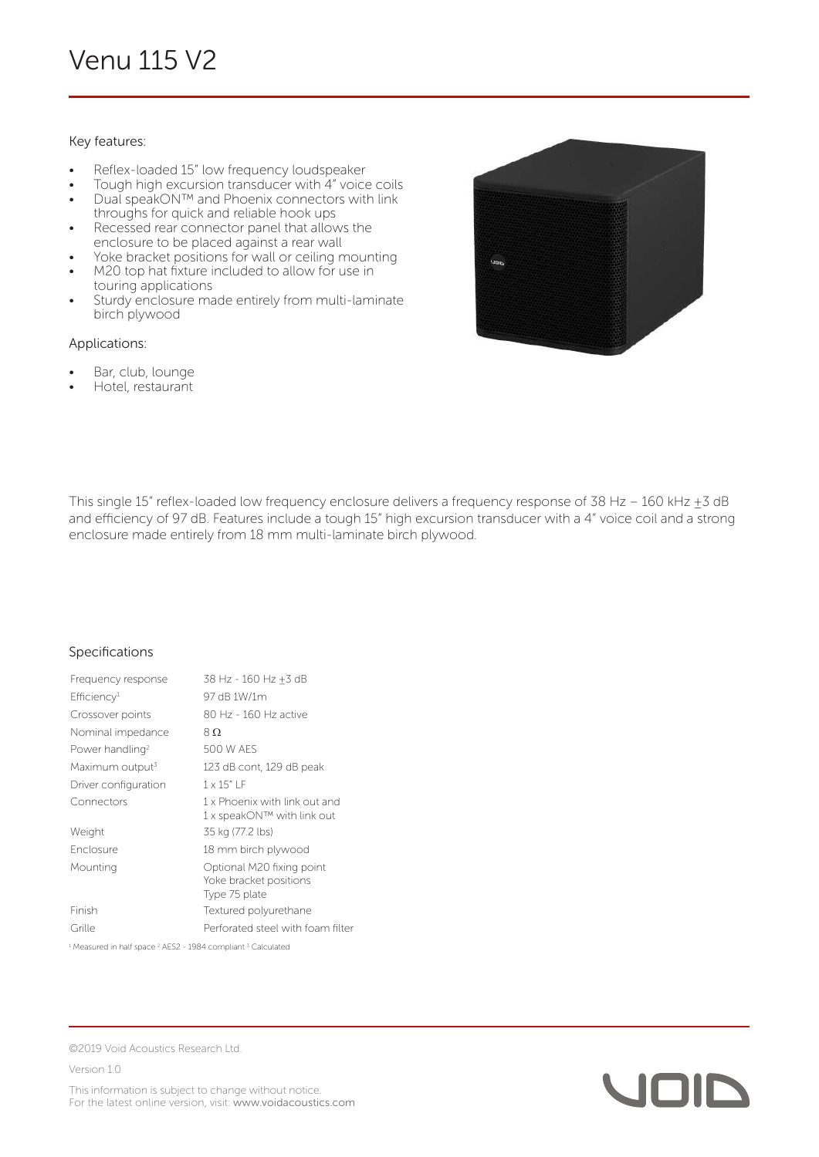## Key features:

- Reflex-loaded 15" low frequency loudspeaker
- Tough high excursion transducer with 4" voice coils • Dual speakON™ and Phoenix connectors with link
- throughs for quick and reliable hook ups
- Recessed rear connector panel that allows the enclosure to be placed against a rear wall
- Yoke bracket positions for wall or ceiling mounting M20 top hat fixture included to allow for use in
- touring applications
- Sturdy enclosure made entirely from multi-laminate birch plywood

## Applications:

- Bar, club, lounge
- Hotel, restaurant



This single 15" reflex-loaded low frequency enclosure delivers a frequency response of 38 Hz - 160 kHz  $\pm$ 3 dB and efficiency of 97 dB. Features include a tough 15" high excursion transducer with a 4" voice coil and a strong enclosure made entirely from 18 mm multi-laminate birch plywood.

## Specifications

| Frequency response          | 38 Hz - 160 Hz +3 dB                                                 |
|-----------------------------|----------------------------------------------------------------------|
| Efficiency <sup>1</sup>     | 97 dB 1W/1m                                                          |
| Crossover points            | 80 Hz - 160 Hz active                                                |
| Nominal impedance           | $8\Omega$                                                            |
| Power handling <sup>2</sup> | 500 W AFS                                                            |
| Maximum output <sup>3</sup> | 123 dB cont, 129 dB peak                                             |
| Driver configuration        | $1 \times 15"$ IF                                                    |
| Connectors                  | 1 x Phoenix with link out and<br>1 x speakON™ with link out          |
| Weight                      | 35 kg (77.2 lbs)                                                     |
| <b>Enclosure</b>            | 18 mm birch plywood                                                  |
| Mounting                    | Optional M20 fixing point<br>Yoke bracket positions<br>Type 75 plate |
| Finish                      | Textured polyurethane                                                |
| Grille                      | Perforated steel with foam filter                                    |

<sup>1</sup> Measured in half space <sup>2</sup> AES2 - 1984 compliant <sup>3</sup> Calculated



Version 1.0